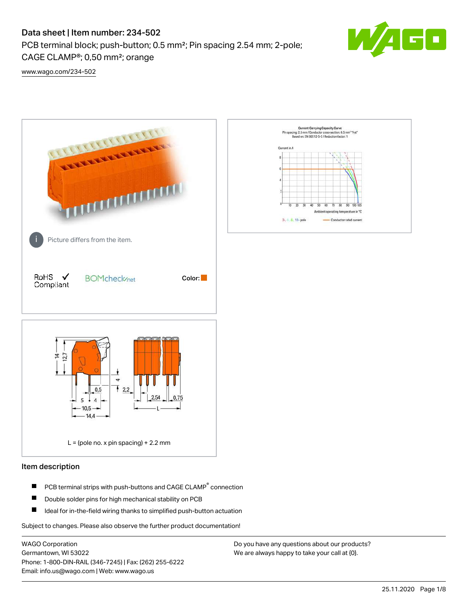# Data sheet | Item number: 234-502

PCB terminal block; push-button; 0.5 mm²; Pin spacing 2.54 mm; 2-pole; CAGE CLAMP®; 0,50 mm²; orange



[www.wago.com/234-502](http://www.wago.com/234-502)



#### Item description

- PCB terminal strips with push-buttons and CAGE CLAMP<sup>®</sup> connection П
- П Double solder pins for high mechanical stability on PCB
- П Ideal for in-the-field wiring thanks to simplified push-button actuation

Subject to changes. Please also observe the further product documentation!

WAGO Corporation Germantown, WI 53022 Phone: 1-800-DIN-RAIL (346-7245) | Fax: (262) 255-6222 Email: info.us@wago.com | Web: www.wago.us

Do you have any questions about our products? We are always happy to take your call at {0}.

30  $\overline{60}$ Ambient operating temperature in "C

Conductor rated current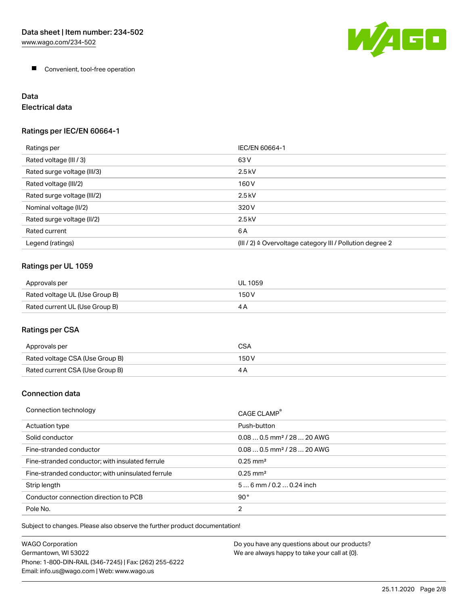

**Convenient, tool-free operation** 

# Data

# Electrical data

### Ratings per IEC/EN 60664-1

| Ratings per                 | IEC/EN 60664-1                                                        |
|-----------------------------|-----------------------------------------------------------------------|
| Rated voltage (III / 3)     | 63 V                                                                  |
| Rated surge voltage (III/3) | $2.5$ kV                                                              |
| Rated voltage (III/2)       | 160 V                                                                 |
| Rated surge voltage (III/2) | $2.5$ kV                                                              |
| Nominal voltage (II/2)      | 320 V                                                                 |
| Rated surge voltage (II/2)  | $2.5$ kV                                                              |
| Rated current               | 6 A                                                                   |
| Legend (ratings)            | $(III / 2)$ $\triangle$ Overvoltage category III / Pollution degree 2 |

# Ratings per UL 1059

| Approvals per                  | UL 1059 |
|--------------------------------|---------|
| Rated voltage UL (Use Group B) | 150 V   |
| Rated current UL (Use Group B) | 4 P     |

# Ratings per CSA

| Approvals per                   | CSA   |
|---------------------------------|-------|
| Rated voltage CSA (Use Group B) | 150 V |
| Rated current CSA (Use Group B) |       |

### Connection data

| Connection technology                             | CAGE CLAMP <sup>®</sup>                |
|---------------------------------------------------|----------------------------------------|
| Actuation type                                    | Push-button                            |
| Solid conductor                                   | $0.080.5$ mm <sup>2</sup> / 28  20 AWG |
| Fine-stranded conductor                           | $0.080.5$ mm <sup>2</sup> / 28  20 AWG |
| Fine-stranded conductor; with insulated ferrule   | $0.25 \text{ mm}^2$                    |
| Fine-stranded conductor; with uninsulated ferrule | $0.25 \text{ mm}^2$                    |
| Strip length                                      | $56$ mm $/ 0.20.24$ inch               |
| Conductor connection direction to PCB             | 90°                                    |
| Pole No.                                          | $\overline{2}$                         |

Subject to changes. Please also observe the further product documentation!

| <b>WAGO Corporation</b>                                | Do you have any questions about our products? |
|--------------------------------------------------------|-----------------------------------------------|
| Germantown, WI 53022                                   | We are always happy to take your call at {0}. |
| Phone: 1-800-DIN-RAIL (346-7245)   Fax: (262) 255-6222 |                                               |
| Email: info.us@wago.com   Web: www.wago.us             |                                               |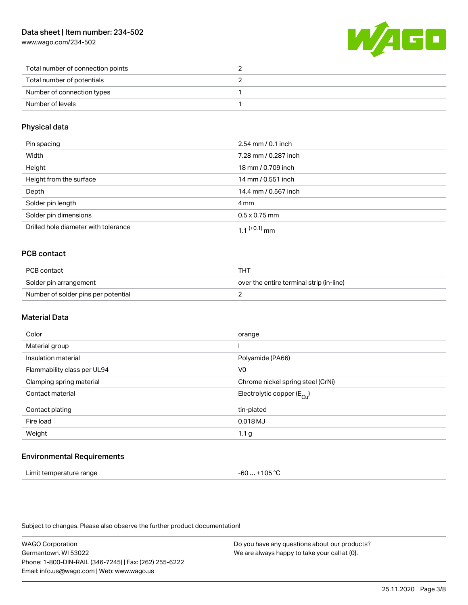[www.wago.com/234-502](http://www.wago.com/234-502)



| Total number of connection points |  |
|-----------------------------------|--|
| Total number of potentials        |  |
| Number of connection types        |  |
| Number of levels                  |  |

#### Physical data

| Pin spacing                          | $2.54 \, \text{mm}$ / 0.1 inch |
|--------------------------------------|--------------------------------|
| Width                                | 7.28 mm / 0.287 inch           |
| Height                               | 18 mm / 0.709 inch             |
| Height from the surface              | 14 mm / 0.551 inch             |
| Depth                                | 14.4 mm / 0.567 inch           |
| Solder pin length                    | 4 mm                           |
| Solder pin dimensions                | $0.5 \times 0.75$ mm           |
| Drilled hole diameter with tolerance | 1 1 $(+0.1)$ mm                |

### PCB contact

| PCB contact                         | тнт                                      |
|-------------------------------------|------------------------------------------|
| Solder pin arrangement              | over the entire terminal strip (in-line) |
| Number of solder pins per potential |                                          |

#### Material Data

| Color                       | orange                                |
|-----------------------------|---------------------------------------|
| Material group              |                                       |
| Insulation material         | Polyamide (PA66)                      |
| Flammability class per UL94 | V <sub>0</sub>                        |
| Clamping spring material    | Chrome nickel spring steel (CrNi)     |
| Contact material            | Electrolytic copper $(E_{\text{Cl}})$ |
| Contact plating             | tin-plated                            |
| Fire load                   | 0.018 MJ                              |
| Weight                      | 1.1 <sub>g</sub>                      |
|                             |                                       |

#### Environmental Requirements

| Limit temperature range | -60  +105 °C |
|-------------------------|--------------|
|-------------------------|--------------|

Subject to changes. Please also observe the further product documentation!

WAGO Corporation Germantown, WI 53022 Phone: 1-800-DIN-RAIL (346-7245) | Fax: (262) 255-6222 Email: info.us@wago.com | Web: www.wago.us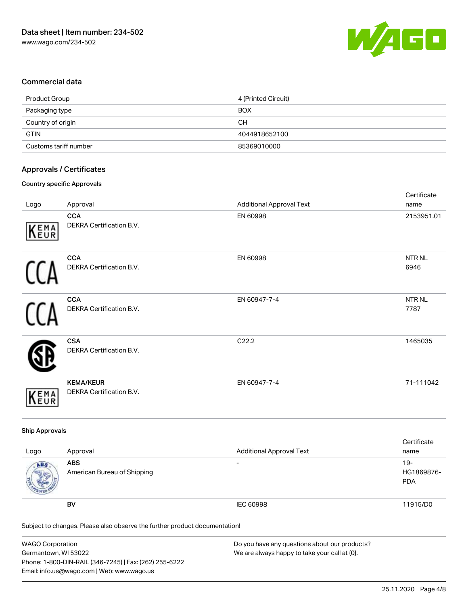

#### Commercial data

| Product Group         | 4 (Printed Circuit) |
|-----------------------|---------------------|
| Packaging type        | <b>BOX</b>          |
| Country of origin     | CН                  |
| <b>GTIN</b>           | 4044918652100       |
| Customs tariff number | 85369010000         |

#### Approvals / Certificates

#### Country specific Approvals

|      |                                              |                                 | Certificate               |
|------|----------------------------------------------|---------------------------------|---------------------------|
| Logo | Approval                                     | <b>Additional Approval Text</b> | name                      |
| KEMA | <b>CCA</b><br>DEKRA Certification B.V.       | EN 60998                        | 2153951.01                |
|      | <b>CCA</b><br>DEKRA Certification B.V.       | EN 60998                        | NTR <sub>NL</sub><br>6946 |
|      | <b>CCA</b><br>DEKRA Certification B.V.       | EN 60947-7-4                    | NTR NL<br>7787            |
|      | <b>CSA</b><br>DEKRA Certification B.V.       | C22.2                           | 1465035                   |
| KEMA | <b>KEMA/KEUR</b><br>DEKRA Certification B.V. | EN 60947-7-4                    | 71-111042                 |

#### Ship Approvals

| Logo | Approval                                  | <b>Additional Approval Text</b> | Certificate<br>name                |
|------|-------------------------------------------|---------------------------------|------------------------------------|
| ABS  | <b>ABS</b><br>American Bureau of Shipping | $\overline{\phantom{0}}$        | $19 -$<br>HG1869876-<br><b>PDA</b> |
|      | BV                                        | IEC 60998                       | 11915/D0                           |

Subject to changes. Please also observe the further product documentation!

| <b>WAGO Corporation</b>                                | Do you have any questions about our products? |
|--------------------------------------------------------|-----------------------------------------------|
| Germantown, WI 53022                                   | We are always happy to take your call at {0}. |
| Phone: 1-800-DIN-RAIL (346-7245)   Fax: (262) 255-6222 |                                               |
| Email: info.us@wago.com   Web: www.wago.us             |                                               |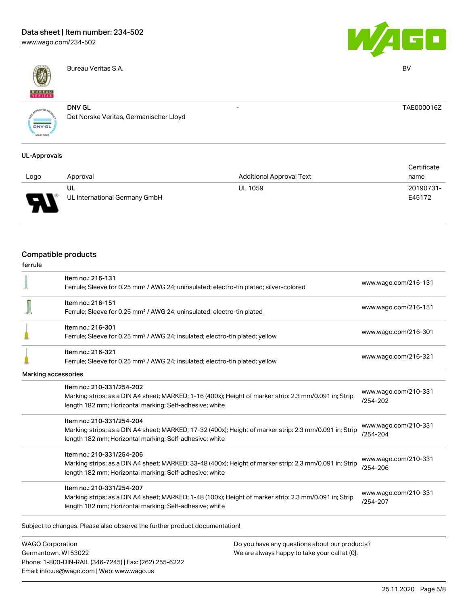# Data sheet | Item number: 234-502

[www.wago.com/234-502](http://www.wago.com/234-502)



Bureau Veritas S.A. BV



- TAE000016Z

VED<sub>a</sub> **DNV-GL** AARITIME

DNV GL Det Norske Veritas, Germanischer Lloyd

#### UL-Approvals

|      |                               |                                 | Certificate |  |
|------|-------------------------------|---------------------------------|-------------|--|
| Logo | Approval                      | <b>Additional Approval Text</b> | name        |  |
|      | UL                            | <b>UL 1059</b>                  | 20190731-   |  |
| o    | UL International Germany GmbH |                                 | E45172      |  |

## Compatible products

| <b>WAGO Corporation</b> |                                                                                                                                                                                                 | Do you have any questions about our products? |                                      |  |
|-------------------------|-------------------------------------------------------------------------------------------------------------------------------------------------------------------------------------------------|-----------------------------------------------|--------------------------------------|--|
|                         | Subject to changes. Please also observe the further product documentation!                                                                                                                      |                                               |                                      |  |
|                         | Marking strips; as a DIN A4 sheet; MARKED; 1-48 (100x); Height of marker strip: 2.3 mm/0.091 in; Strip<br>length 182 mm; Horizontal marking; Self-adhesive; white                               |                                               | www.wago.com/210-331<br>/254-207     |  |
|                         | Item no.: 210-331/254-207                                                                                                                                                                       |                                               |                                      |  |
|                         | Item no.: 210-331/254-206<br>Marking strips; as a DIN A4 sheet; MARKED; 33-48 (400x); Height of marker strip: 2.3 mm/0.091 in; Strip<br>length 182 mm; Horizontal marking; Self-adhesive; white |                                               | www.wago.com/210-331<br>/254-206     |  |
|                         | Item no.: 210-331/254-204<br>Marking strips; as a DIN A4 sheet; MARKED; 17-32 (400x); Height of marker strip: 2.3 mm/0.091 in; Strip<br>length 182 mm; Horizontal marking; Self-adhesive; white |                                               | www.wago.com/210-331<br>$/254 - 204$ |  |
|                         | Item no.: 210-331/254-202<br>Marking strips; as a DIN A4 sheet; MARKED; 1-16 (400x); Height of marker strip: 2.3 mm/0.091 in; Strip<br>length 182 mm; Horizontal marking; Self-adhesive; white  |                                               | www.wago.com/210-331<br>$/254 - 202$ |  |
|                         | <b>Marking accessories</b>                                                                                                                                                                      |                                               |                                      |  |
|                         | Item no.: 216-321<br>Ferrule; Sleeve for 0.25 mm <sup>2</sup> / AWG 24; insulated; electro-tin plated; yellow                                                                                   |                                               | www.wago.com/216-321                 |  |
|                         | Item no.: 216-301<br>Ferrule; Sleeve for 0.25 mm <sup>2</sup> / AWG 24; insulated; electro-tin plated; yellow                                                                                   |                                               | www.wago.com/216-301                 |  |
|                         | Item no.: 216-151<br>Ferrule; Sleeve for 0.25 mm <sup>2</sup> / AWG 24; uninsulated; electro-tin plated                                                                                         |                                               | www.wago.com/216-151                 |  |
|                         | Item no.: 216-131<br>Ferrule; Sleeve for 0.25 mm <sup>2</sup> / AWG 24; uninsulated; electro-tin plated; silver-colored                                                                         |                                               | www.wago.com/216-131                 |  |

Germantown, WI 53022 Phone: 1-800-DIN-RAIL (346-7245) | Fax: (262) 255-6222 Email: info.us@wago.com | Web: www.wago.us

We are always happy to take your call at {0}.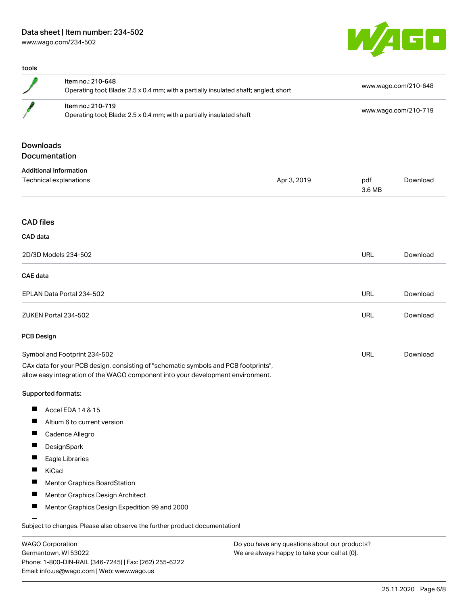### Data sheet | Item number: 234-502

[www.wago.com/234-502](http://www.wago.com/234-502)

tools



|                    | Item no.: 210-648<br>Operating tool; Blade: 2.5 x 0.4 mm; with a partially insulated shaft; angled; short                                                              |             |               | www.wago.com/210-648<br>www.wago.com/210-719 |  |
|--------------------|------------------------------------------------------------------------------------------------------------------------------------------------------------------------|-------------|---------------|----------------------------------------------|--|
|                    | Item no.: 210-719<br>Operating tool; Blade: 2.5 x 0.4 mm; with a partially insulated shaft                                                                             |             |               |                                              |  |
| <b>Downloads</b>   |                                                                                                                                                                        |             |               |                                              |  |
| Documentation      |                                                                                                                                                                        |             |               |                                              |  |
|                    | <b>Additional Information</b>                                                                                                                                          |             |               |                                              |  |
|                    | Technical explanations                                                                                                                                                 | Apr 3, 2019 | pdf<br>3.6 MB | Download                                     |  |
| <b>CAD files</b>   |                                                                                                                                                                        |             |               |                                              |  |
| CAD data           |                                                                                                                                                                        |             |               |                                              |  |
|                    | 2D/3D Models 234-502                                                                                                                                                   |             | <b>URL</b>    | Download                                     |  |
| <b>CAE</b> data    |                                                                                                                                                                        |             |               |                                              |  |
|                    | EPLAN Data Portal 234-502                                                                                                                                              |             | <b>URL</b>    | Download                                     |  |
|                    | ZUKEN Portal 234-502                                                                                                                                                   |             | URL           | Download                                     |  |
| <b>PCB Design</b>  |                                                                                                                                                                        |             |               |                                              |  |
|                    | Symbol and Footprint 234-502                                                                                                                                           |             | <b>URL</b>    | Download                                     |  |
|                    | CAx data for your PCB design, consisting of "schematic symbols and PCB footprints",<br>allow easy integration of the WAGO component into your development environment. |             |               |                                              |  |
| Supported formats: |                                                                                                                                                                        |             |               |                                              |  |
| ш                  | Accel EDA 14 & 15                                                                                                                                                      |             |               |                                              |  |
| Ш                  | Altium 6 to current version                                                                                                                                            |             |               |                                              |  |
| H                  | Cadence Allegro                                                                                                                                                        |             |               |                                              |  |
| $\blacksquare$     | DesignSpark                                                                                                                                                            |             |               |                                              |  |
| Ш                  | Eagle Libraries                                                                                                                                                        |             |               |                                              |  |
| KiCad              |                                                                                                                                                                        |             |               |                                              |  |
|                    | Mentor Graphics BoardStation                                                                                                                                           |             |               |                                              |  |
| H                  | Mentor Graphics Design Architect                                                                                                                                       |             |               |                                              |  |
| $\blacksquare$     | Mentor Graphics Design Expedition 99 and 2000                                                                                                                          |             |               |                                              |  |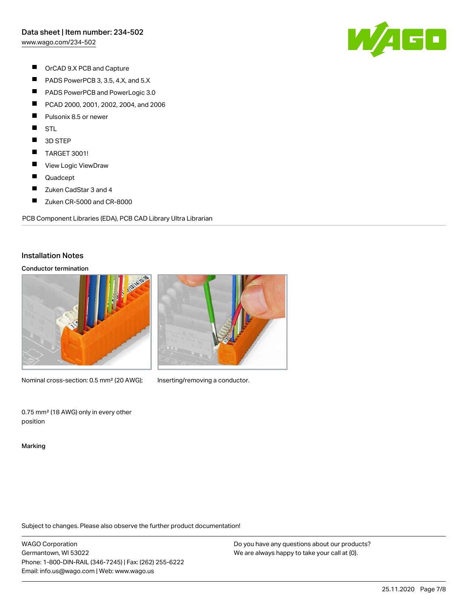[www.wago.com/234-502](http://www.wago.com/234-502)

- $\blacksquare$ OrCAD 9.X PCB and Capture
- $\blacksquare$ PADS PowerPCB 3, 3.5, 4.X, and 5.X
- $\blacksquare$ PADS PowerPCB and PowerLogic 3.0
- $\blacksquare$ PCAD 2000, 2001, 2002, 2004, and 2006
- **T** Pulsonix 8.5 or newer
- $\blacksquare$ **STL**
- $\blacksquare$ 3D STEP
- $\blacksquare$ TARGET 3001!
- $\blacksquare$ View Logic ViewDraw
- $\blacksquare$ Quadcept
- $\blacksquare$ Zuken CadStar 3 and 4
- $\blacksquare$ Zuken CR-5000 and CR-8000

PCB Component Libraries (EDA), PCB CAD Library Ultra Librarian

#### Installation Notes

#### Conductor termination



Nominal cross-section: 0.5 mm<sup>2</sup> (20 AWG); Inserting/removing a conductor.



0.75 mm² (18 AWG) only in every other position

Marking

Subject to changes. Please also observe the further product documentation!

WAGO Corporation Germantown, WI 53022 Phone: 1-800-DIN-RAIL (346-7245) | Fax: (262) 255-6222 Email: info.us@wago.com | Web: www.wago.us